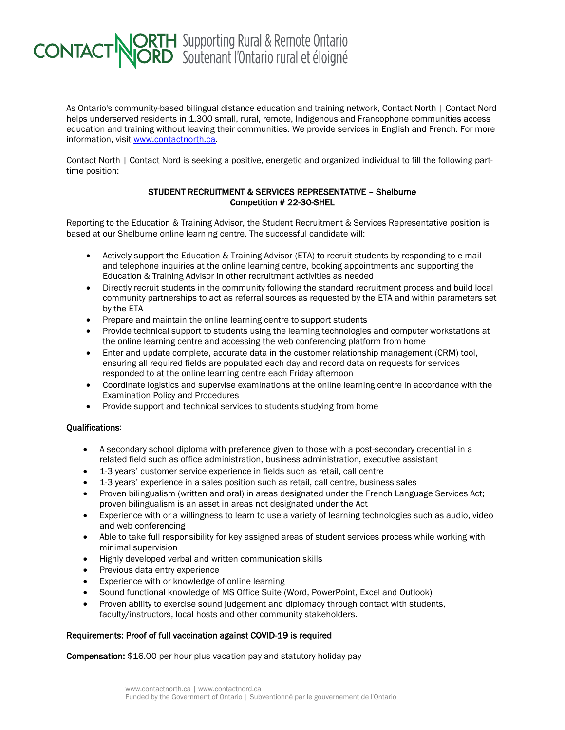## **CONTACT NORTH** Supporting Rural & Remote Ontario

As Ontario's community-based bilingual distance education and training network, Contact North | Contact Nord helps underserved residents in 1,300 small, rural, remote, Indigenous and Francophone communities access education and training without leaving their communities. We provide services in English and French. For more information, visit [www.contactnorth.ca.](http://www.contactnorth.ca/)

Contact North | Contact Nord is seeking a positive, energetic and organized individual to fill the following parttime position:

## STUDENT RECRUITMENT & SERVICES REPRESENTATIVE – Shelburne Competition # 22-30-SHEL

Reporting to the Education & Training Advisor, the Student Recruitment & Services Representative position is based at our Shelburne online learning centre. The successful candidate will:

- Actively support the Education & Training Advisor (ETA) to recruit students by responding to e-mail and telephone inquiries at the online learning centre, booking appointments and supporting the Education & Training Advisor in other recruitment activities as needed
- Directly recruit students in the community following the standard recruitment process and build local community partnerships to act as referral sources as requested by the ETA and within parameters set by the ETA
- Prepare and maintain the online learning centre to support students
- Provide technical support to students using the learning technologies and computer workstations at the online learning centre and accessing the web conferencing platform from home
- Enter and update complete, accurate data in the customer relationship management (CRM) tool. ensuring all required fields are populated each day and record data on requests for services responded to at the online learning centre each Friday afternoon
- Coordinate logistics and supervise examinations at the online learning centre in accordance with the Examination Policy and Procedures
- Provide support and technical services to students studying from home

## Qualifications:

- A secondary school diploma with preference given to those with a post-secondary credential in a related field such as office administration, business administration, executive assistant
- 1-3 years' customer service experience in fields such as retail, call centre
- 1-3 years' experience in a sales position such as retail, call centre, business sales
- Proven bilingualism (written and oral) in areas designated under the French Language Services Act; proven bilingualism is an asset in areas not designated under the Act
- Experience with or a willingness to learn to use a variety of learning technologies such as audio, video and web conferencing
- Able to take full responsibility for key assigned areas of student services process while working with minimal supervision
- Highly developed verbal and written communication skills
- Previous data entry experience
- Experience with or knowledge of online learning
- Sound functional knowledge of MS Office Suite (Word, PowerPoint, Excel and Outlook)
- Proven ability to exercise sound judgement and diplomacy through contact with students, faculty/instructors, local hosts and other community stakeholders.

## Requirements: Proof of full vaccination against COVID-19 is required

Compensation: \$16.00 per hour plus vacation pay and statutory holiday pay